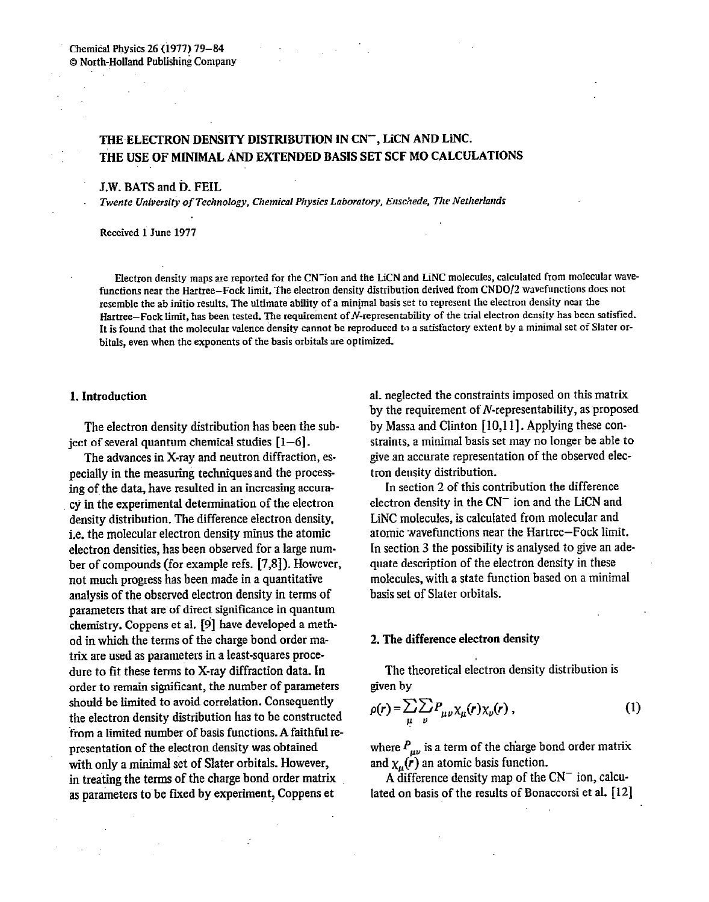$\sim$ 

# THE ELECTRON DENSITY DISTRIBUTION IN CN", LICN AND LINC. THE USE OF MINIMAL AND EXTENDED BASIS SET SCF MO CALCULATIONS

## J.W. BATS and D. FEIL

*Twente University of Technology, Chemical Physics Laboratory, Enschede, The Netherlands* 

Received 1 June 1977

Eiectron density maps are reported for the CN-ion and the LiCN and LiNC molecules, calculated from molecular wavefunctions near the Hartree-Fock limit. The electron density distribution derived from **CNDO/2** wavefunctions does not resemble the ab initio results. The ultimate ability of a minimal basis set to represent the electron density near the Hartree-Fock limit, has been tested. The requirement of N-representability of the trial electron density has been satisfied. It is found that the molecular valence density cannot be reproduced to a satisfactory extent by a minimal set of Slater orbitals, even when the exponents of the basis orbitals are optimized.

## 1. Introduction

The electron density distribution has been the subject of several quantum chemical studies  $[1-6]$ .

The advances in X-ray and neutron diffraction, especially in the measuring techniquesand the processing of the data, have resulted in an increasing accuracy in the experimental determination of the electron density distribution. The difference electron density, i.e. the molecular electron density minus the atomic electron densities, has been observed for a large number of compounds (for example refs. [7,X]). However, not much progress has been made in a quantitative analysis of the observed electron density in terms of parameters that are of direct significance in quantum chemistry. Coppens et al. [9] have developed a method in which the terms of the charge bond order matrix are used as parameters in a least-squares procedure to fit these terms to X-ray diffraction data. In order to remain significant, the number of parameters should be limited to avoid correlation. Consequently the electron density distribution has to be constructed from a limited number of basis functions. A faithful representation of the electron density was obtained with only a minimal set of Slater orbitals. However, in treating the terms of the charge bond order matrix as parameters to be fixed by experiment, Coppens et

al. neglected the constraints imposed on this matrix by the requirement of  $N$ -representability, as proposed by Massa and Clinton [lO,l **11.** Applying these constraints, a minimal basis set may no longer be able to give an accurate representation of the observed electron density distribution.

In section 2 of this contribution the difference electron density in the  $CN^-$  ion and the LiCN and LiNC molecules, is calculated from molecular and atomic wavefunctions near the Hartree-Fock limit. In section 3 the possibility is analysed to give an adequate description of the electron density in these molecules, with a state function based on a minimal basis set of Slater orbitals.

# 2. The difference electron density

The theoretical electron density distribution is given by

$$
\rho(r) = \sum_{\mu} \sum_{\nu} P_{\mu\nu} \chi_{\mu}(r) \chi_{\nu}(r) , \qquad (1)
$$

where  $P_{\mu\nu}$  is a term of the charge bond order matrix and  $\chi_{\mu}(r)$  an atomic basis function.

A difference density map of the  $CN^-$  ion, calculated on basis of the results of Bonaccorsi et al. [12]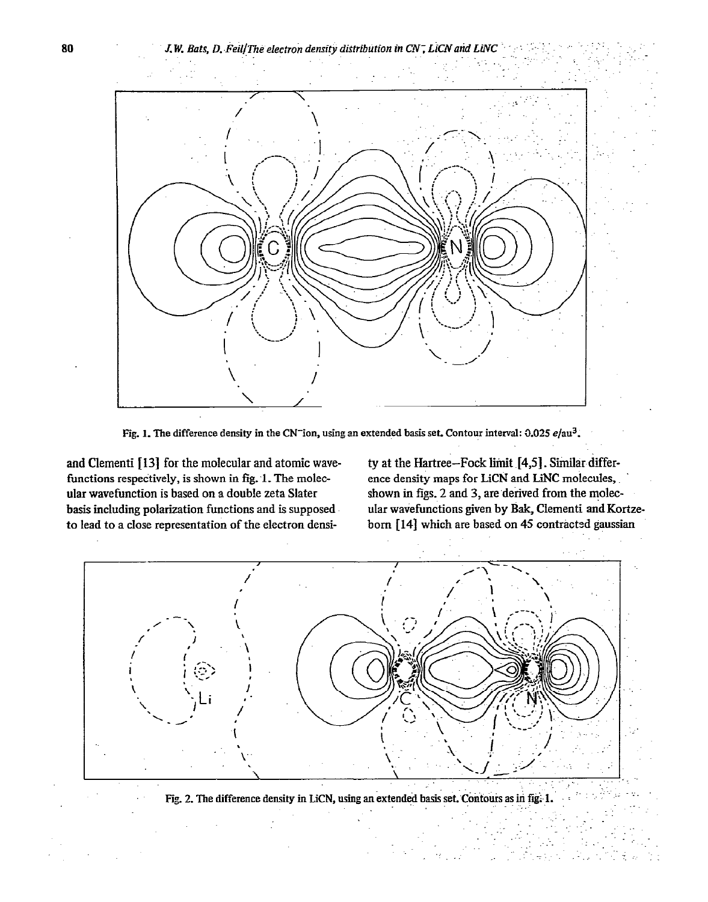

Fig. 1. The difference density in the CN<sup>-</sup>ion, using an extended basis set. Contour interval: 0.025  $e/au^3$ .

and Clementi [13] for the molecular and atomic wavefunctions respectively, is shown in fig. 1. The molecular wavefunction is based on a double zeta Slater basis including polarization functions and is supposed to lead to a close representation of the electron density at the Hartree-Fock limit [4,5]. Similar difference density maps for LiCN and LiNC molecules, shown in figs. 2 and 3, are derived from the molecular wavefunctions given by Bak, Clementi and Kortzeborn [14] which are based on 45 contracted gaussian



Fig. 2. The difference density in LiCN, using an extended basis set. Contours as in fig. 1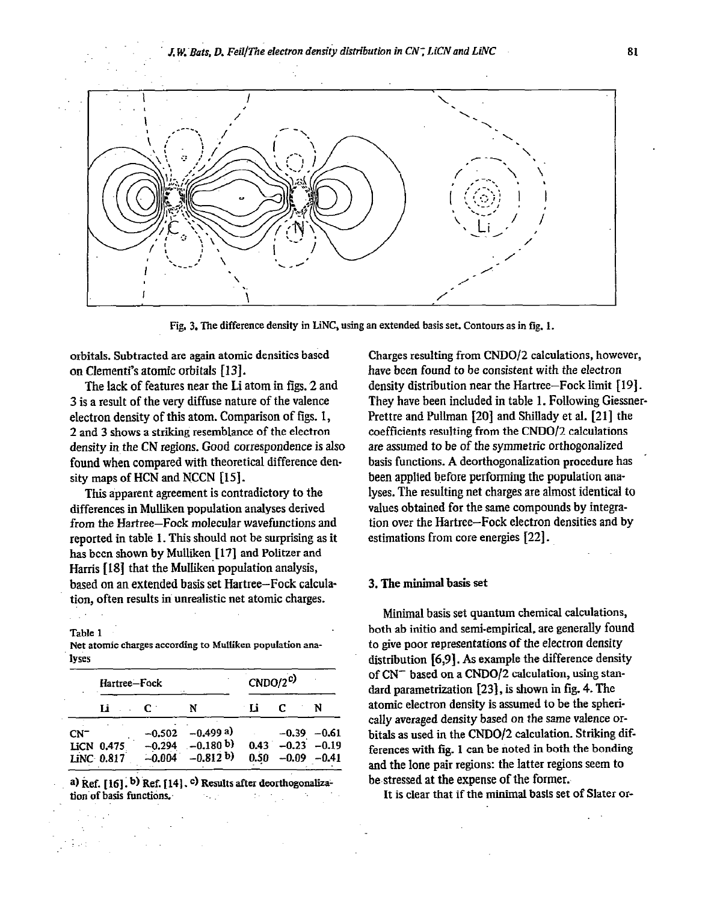*J W..Bats, D. FeiljThe electron density distribution in CN; LiCNand Lih'C* 81



Fig. 3. The difference density in LiNC, using an extended basis set. Contours as in fig. 1.

orbitals. Subtracted are again atomic densities based on Clementi's atomic orbitals [13].

The lack of features near the Li atom in figs. 2 and 3 is a result of the very diffuse nature of the valence electron density of this atom. Comparison of figs. 1, 2 and 3 shows a striking resemblance of the electron density in the CN regions. Good correspondence is also found when compared with theoretical difference density maps of HCN and NCCN [15].

This apparent agreement is contradictory to the differences in Mulliken population analyses derived from the Hartree-Fock molecular wavefunctions and reported in table 1. This should not be surprising as it has been shown by Mulliken [17] and Politzer and Harris [lg] that the Mulliken popuiation analysis, based on an extended basis set Hartree-Fock calculation, often results in unrealistic net atomic charges.

Table 1

**Net atomic charges according to Mdiken** population analyses

|        | Hartree-Fock |      |                    | $CNDO/2^{c}$ |                |  |
|--------|--------------|------|--------------------|--------------|----------------|--|
|        | Li           | . C. | N                  | - Li         |                |  |
| $CN^-$ |              |      | $-0.502 -0.499$ a) |              | $-0.39 - 0.61$ |  |
|        | LiCN 0.475   |      | $-0.294 -0.180 b$  | 0.43         | $-0.23 -0.19$  |  |
|        | LiNC 0.817   |      | $-0.004 -0.812 b$  | 0.50         | $-0.09 - 0.41$ |  |

a) Ref. [16], b) Ref. [14], c) Results after deorthogonalization of basis functions.

Charges resulting from CNDO/Z calculations, however, have been found to be consistent with the electron density distribution near the Hartree-Fock limit [ 191. They have been included in table 1. Following Giessner-Prettre and Pullman [20] and Shillady et al. [21] the coefficients resulting from the CNDO/Z calculations are assumed to be of the symmetric orthogonalized basis functions. A deorthogonalization procedure has . been applied before performing the population analyses. The resulting net charges are almost identical to values obtained for the same compounds by integration over the Hartree-Fock electron densities and by estimations from core energies [22].

## 3. The minimal basis set

Minimal basis set quantum chemical calculations, both ab initio and semi-empirical, are generally found to give poor representations of the electron density distribution [6,9]. As example the difference density of CN<sup>-</sup> based on a CNDO/2 calculation, using standard parametrization [23], is shown in fig. 4. The atomic electron density is assumed to be the spherically averaged density based on the same valence orbitals as used in the CNDO/2 calculation. Striking differences with fig. 1 can be noted in both the bonding and the lone pair regions: the latter regions seem to be-stressed at the expense of the former.

It is clear that if the minimal basis set of Slater or-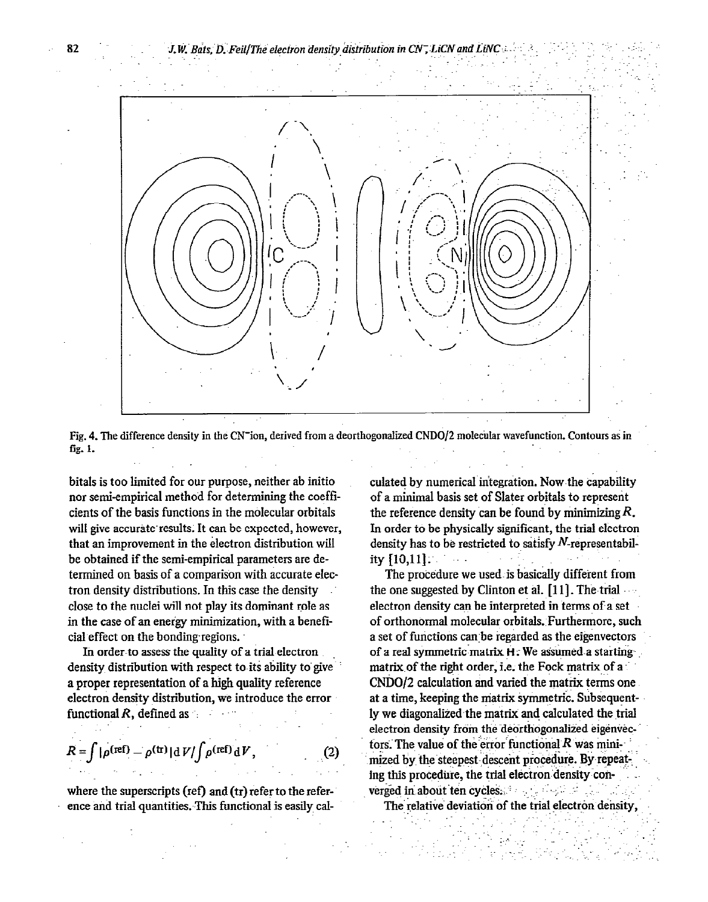

Fig. 4. The difference density in the CN<sup>-</sup>ion, derived from a deorthogonalized CNDO/2 molecular wavefunction. Contours as in fig. 1.

bitals is too limited for our purpose, neither ab initio nor semi-empirical method for determining the coefficients of the basis functions in the molecular orbitals will give accurate results. It can be expected, however, that an improvement in the electron distribution will be obtained if the semi-empirical parameters are determined on basis of a comparison with accurate electron density distributions. In this case the density close to the nuclei will not play its dominant role as in the case of an energy minimization, with a beneficial effect on the bonding regions.

In order to assess the quality of a trial electron density distribution with respect to its ability to give a proper representation of a high quality reference electron density distribution, we introduce the error functional  $R$ , defined as

$$
R = \int |\rho^{(\text{ref})} - \rho^{(\text{tr})}| \, \mathrm{d} V / \int \rho^{(\text{ref})} \, \mathrm{d} V, \tag{2}
$$

where the superscripts (ref) and  $(tr)$  refer to the reference and trial quantities. This functional is easily cal-

culated by numerical integration. Now the capability of a minimal basis set of Slater orbitals to represent the reference density can be found by minimizing  $R$ . In order to be physically significant, the trial electron density has to be restricted to satisfy  $N$ -representability [10,11].  $\alpha$  and  $\alpha$ 

The procedure we used is basically different from the one suggested by Clinton et al.  $[11]$ . The trial electron density can be interpreted in terms of a set of orthonormal molecular orbitals. Furthermore, such a set of functions can be regarded as the eigenvectors of a real symmetric matrix H. We assumed a starting matrix of the right order, i.e. the Fock matrix of a CNDO/2 calculation and varied the matrix terms one at a time, keeping the matrix symmetric. Subsequently we diagonalized the matrix and calculated the trial electron density from the deorthogonalized eigenvectors. The value of the error functional  $R$  was minimized by the steepest descent procedure. By repeating this procedure, the trial electron density converged in about ten cycles. The state of the state of

The relative deviation of the trial electron density,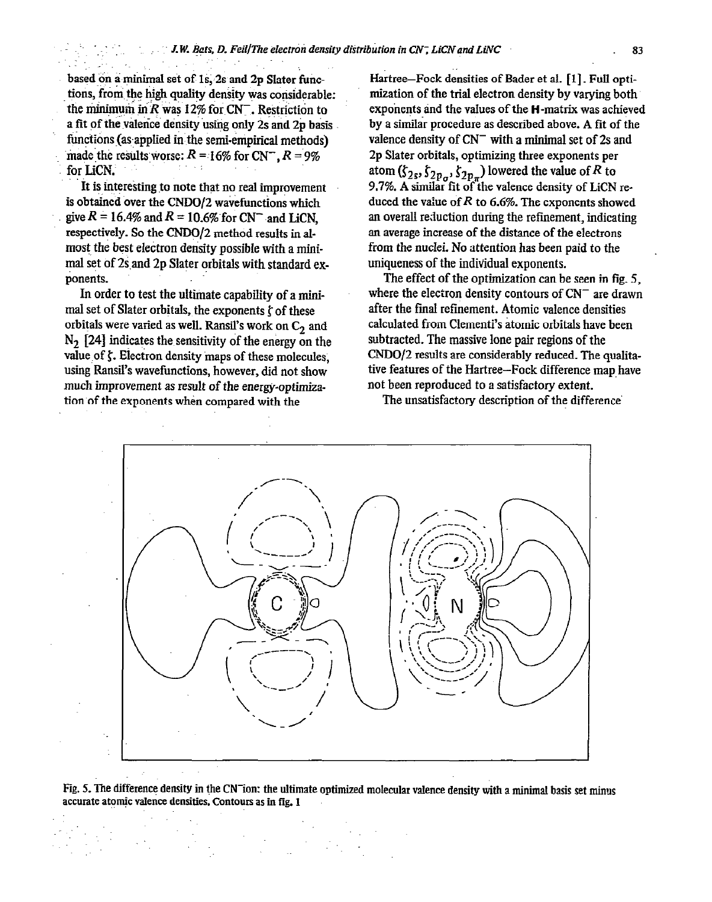based on a minimal set of 1s; 2s and 2p Slater functions, from the high quality density was considerable: the minimum in R was 12% for  $CN^-$ . Restriction to a fit of the valence density using only 2s and 2p basis. functions (as applied in the semi-empirical methods) made the results worse:  $R = 16\%$  for CN<sup>-</sup>,  $R = 9\%$ for LiCN.

 $\mathcal{L} \subset \mathcal{L}$ 

It is interesting to note that no real improvement is obtained over the CNDO/2 wavefunctions which give  $R = 16.4\%$  and  $R = 10.6\%$  for CN<sup>-</sup> and LiCN, respectively. So the CNDO/2 method results in almost the best electron density possible with a minimal set of 2s and 2p Slater orbitals with standard exponents.

In order to test the ultimate capability of a minimal set of Slater orbitals, the exponents  $\zeta$  of these orbitals were varied as well. Ransil's work on  $C_2$  and  $N<sub>2</sub>$  [24] indicates the sensitivity of the energy on the value of  $\zeta$ . Electron density maps of these molecules, using Ransil's wavefunctions, however, did not show much improvement as result of the energy-optimization of the exponents when compared with the

Hartree-Fock densities of Bader et al. [1]. Full optimization of the trial electron density by varying both exponents and the values of the H-matrix was achieved by a similar procedure as described above. A fit of the valence density of  $CN^-$  with a minimal set of 2s and 2p Slater orbitals, optimizing three exponents per atom ( $\zeta_{2s}$ ,  $\zeta_{2p,q}$ ,  $\zeta_{2p,q}$ ) lowered the value of R to 9.7%. A similar fit of the valence density of LiCN reduced the value of R to 6.6%. The exponents showed an overall reduction during the refmement, indicating an average increase of the distance of the electrons from the nuclei. No attention has been paid to the uniqueness of the individual exponents.

The effect of the optimization can be seen in fig. 5, where the electron density contours of  $CN^-$  are drawn after the fmal refinement. Atomic valence densities calculated from Clementi's atomic orbitals have been subtracted. The massive lone pair regions of the CNDO/2 results are considerably reduced. The qualitative features of the Hartree-Fock difference map have not been reproduced to a satisfactory extent.



The unsatisfactory description of the difference

Fig. 5. The difference density in the CN<sup>-</sup>ion: the ultimate optimized molecular valence density with a minimal basis set minus accurate atomic valence densities. Contours as in fig. 1